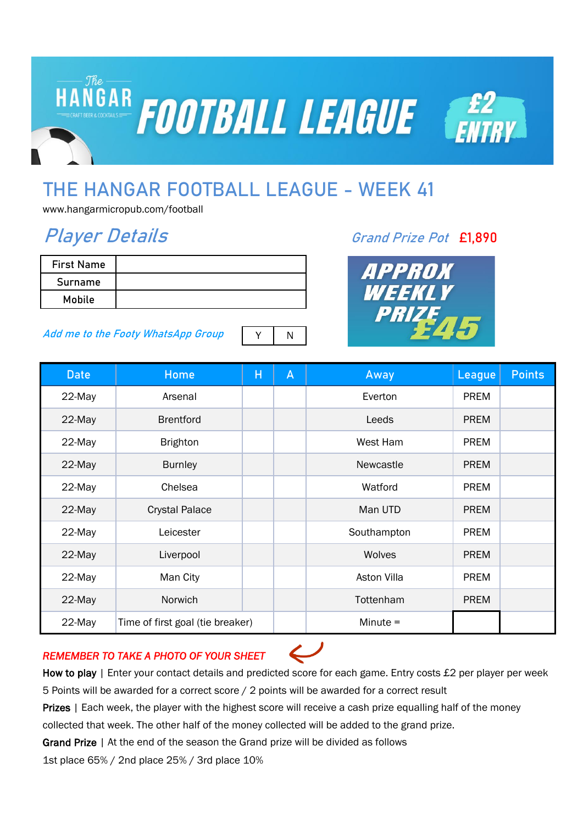

# **THE HANGAR FOOTBALL LEAGUE - WEEK 41**

www.hangarmicropub.com/football

## **Player Details Grand Prize Pot £1,890**

| <b>First Name</b> |  |
|-------------------|--|
| Surname           |  |
| Mobile            |  |

#### **Add me to the Footy WhatsApp Group**



| <b>Date</b> | Home                             | Н | A | Away               | League      | <b>Points</b> |
|-------------|----------------------------------|---|---|--------------------|-------------|---------------|
| 22-May      | Arsenal                          |   |   | Everton            | <b>PREM</b> |               |
| 22-May      | <b>Brentford</b>                 |   |   | Leeds              | <b>PREM</b> |               |
| 22-May      | <b>Brighton</b>                  |   |   | West Ham           | <b>PREM</b> |               |
| 22-May      | <b>Burnley</b>                   |   |   | Newcastle          | <b>PREM</b> |               |
| 22-May      | Chelsea                          |   |   | Watford            | <b>PREM</b> |               |
| 22-May      | <b>Crystal Palace</b>            |   |   | Man UTD            | <b>PREM</b> |               |
| 22-May      | Leicester                        |   |   | Southampton        | <b>PREM</b> |               |
| 22-May      | Liverpool                        |   |   | Wolves             | <b>PREM</b> |               |
| 22-May      | Man City                         |   |   | <b>Aston Villa</b> | <b>PREM</b> |               |
| 22-May      | Norwich                          |   |   | Tottenham          | <b>PREM</b> |               |
| 22-May      | Time of first goal (tie breaker) |   |   | Minute $=$         |             |               |

### *REMEMBER TO TAKE A PHOTO OF YOUR SHEET*

How to play | Enter your contact details and predicted score for each game. Entry costs £2 per player per week 5 Points will be awarded for a correct score / 2 points will be awarded for a correct result

Prizes | Each week, the player with the highest score will receive a cash prize equalling half of the money

collected that week. The other half of the money collected will be added to the grand prize.

Grand Prize | At the end of the season the Grand prize will be divided as follows

1st place 65% / 2nd place 25% / 3rd place 10%